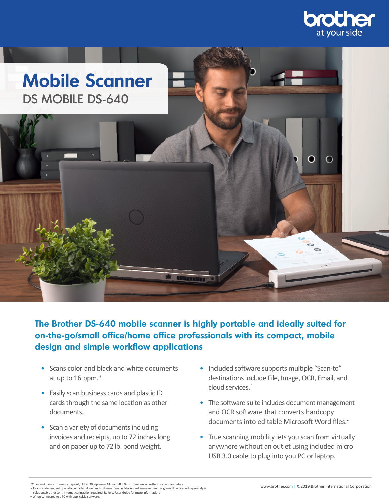



**The Brother DS-640 mobile scanner is highly portable and ideally suited for on-the-go/small office/home office professionals with its compact, mobile design and simple workflow applications** 

- Scans color and black and white documents at up to 16 ppm.\*
- Easily scan business cards and plastic ID cards through the same location as other documents.
- Scan a variety of documents including invoices and receipts, up to 72 inches long and on paper up to 72 lb. bond weight.
- Included software supports multiple "Scan-to" destinations include File, Image, OCR, Email, and cloud services.^
- $\bullet$  The software suite includes document management and OCR software that converts hardcopy documents into editable Microsoft Word files.•
- True scanning mobility lets you scan from virtually anywhere without an outlet using included micro USB 3.0 cable to plug into you PC or laptop.

<sup>\*</sup>Color and monochrome scan speed, LTR at 300dpi using Micro USB 3.0 cord. See www.brother-usa.com for details.

<sup>•</sup> Features dependent upon downloaded driver and software. Bundled document management programs downloaded separately at solutions.brother.com. Internet connection required. Refer to User Guide for more information.

<sup>^</sup> When connected to a PC with applicable software.